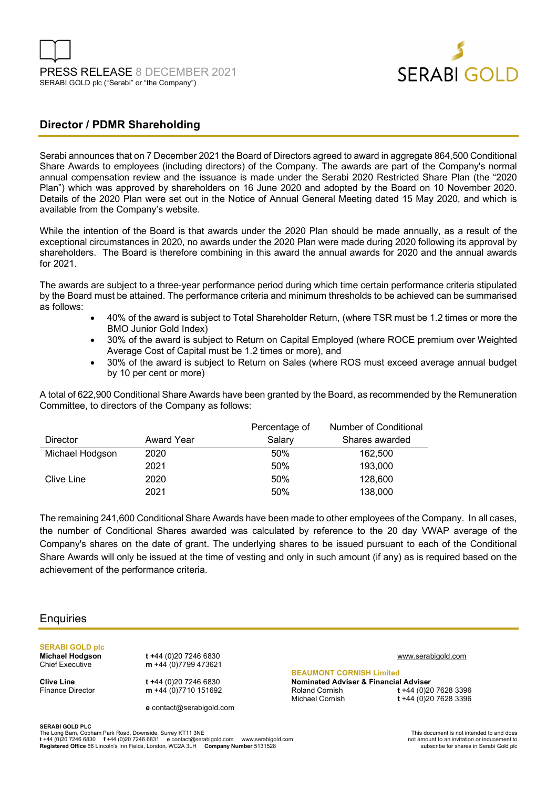



# **Director / PDMR Shareholding**

Serabi announces that on 7 December 2021 the Board of Directors agreed to award in aggregate 864,500 Conditional Share Awards to employees (including directors) of the Company. The awards are part of the Company's normal annual compensation review and the issuance is made under the Serabi 2020 Restricted Share Plan (the "2020 Plan") which was approved by shareholders on 16 June 2020 and adopted by the Board on 10 November 2020. Details of the 2020 Plan were set out in the Notice of Annual General Meeting dated 15 May 2020, and which is available from the Company's website.

While the intention of the Board is that awards under the 2020 Plan should be made annually, as a result of the exceptional circumstances in 2020, no awards under the 2020 Plan were made during 2020 following its approval by shareholders. The Board is therefore combining in this award the annual awards for 2020 and the annual awards for 2021.

The awards are subject to a three-year performance period during which time certain performance criteria stipulated by the Board must be attained. The performance criteria and minimum thresholds to be achieved can be summarised as follows:

- 40% of the award is subject to Total Shareholder Return, (where TSR must be 1.2 times or more the BMO Junior Gold Index)
- 30% of the award is subject to Return on Capital Employed (where ROCE premium over Weighted Average Cost of Capital must be 1.2 times or more), and
- 30% of the award is subject to Return on Sales (where ROS must exceed average annual budget by 10 per cent or more)

A total of 622,900 Conditional Share Awards have been granted by the Board, as recommended by the Remuneration Committee, to directors of the Company as follows:

|                 |            | Percentage of | Number of Conditional |
|-----------------|------------|---------------|-----------------------|
| <b>Director</b> | Award Year | Salary        | Shares awarded        |
| Michael Hodgson | 2020       | 50%           | 162.500               |
|                 | 2021       | 50%           | 193,000               |
| Clive Line      | 2020       | 50%           | 128,600               |
|                 | 2021       | 50%           | 138,000               |

The remaining 241,600 Conditional Share Awards have been made to other employees of the Company. In all cases, the number of Conditional Shares awarded was calculated by reference to the 20 day VWAP average of the Company's shares on the date of grant. The underlying shares to be issued pursuant to each of the Conditional Share Awards will only be issued at the time of vesting and only in such amount (if any) as is required based on the achievement of the performance criteria.

# **Enquiries**

# **SERABI GOLD plc Michael Hodgson t +**44 (0)20 7246 6830

Chief Executive **m** +44 (0)7799 473621

**Clive Line** t +44 (0)20 7246 6830<br>
Finance Director **m** +44 (0)7710 151692 m +44 (0)7710 151692

**e** contact@serabigold.com

www.serabigold.com

**BEAUMONT CORNISH Limited Nominated Adviser & Financial Adviser**  Roland Cornish **t** +44 (0)20 7628 3396 Michael Cornish **t** +44 (0)20 7628 3396

**SERABI GOLD PLC** 

The Long Barn, Cobham Park Road, Downside, Surrey KT11 3NE<br>t +44 (0)20 7246 6830 f +44 (0)20 7246 6831 e contact@serabigold.com www.serabigold.com not amount to an invitation or inducement to **Registered Office** 66 Lincoln's Inn Fields, London, WC2A 3LH **Company Number** 5131528 subscribe for shares in Serabi Gold plc